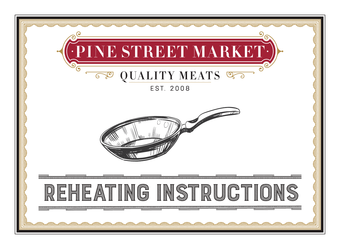